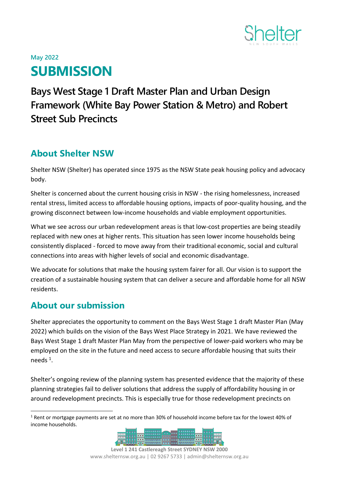

# **May 2022 SUBMISSION**

## **Bays West Stage 1 Draft Master Plan and Urban Design Framework (White Bay Power Station & Metro) and Robert Street Sub Precincts**

## **About Shelter NSW**

Shelter NSW (Shelter) has operated since 1975 as the NSW State peak housing policy and advocacy body.

Shelter is concerned about the current housing crisis in NSW - the rising homelessness, increased rental stress, limited access to affordable housing options, impacts of poor-quality housing, and the growing disconnect between low-income households and viable employment opportunities.

What we see across our urban redevelopment areas is that low-cost properties are being steadily replaced with new ones at higher rents. This situation has seen lower income households being consistently displaced - forced to move away from their traditional economic, social and cultural connections into areas with higher levels of social and economic disadvantage.

We advocate for solutions that make the housing system fairer for all. Our vision is to support the creation of a sustainable housing system that can deliver a secure and affordable home for all NSW residents.

## **About our submission**

Shelter appreciates the opportunity to comment on the Bays West Stage 1 draft Master Plan (May 2022) which builds on the vision of the Bays West Place Strategy in 2021. We have reviewed the Bays West Stage 1 draft Master Plan May from the perspective of lower-paid workers who may be employed on the site in the future and need access to secure affordable housing that suits their needs<sup>1</sup>.

Shelter's ongoing review of the planning system has presented evidence that the majority of these planning strategies fail to deliver solutions that address the supply of affordability housing in or around redevelopment precincts. This is especially true for those redevelopment precincts on

<sup>1</sup> Rent or mortgage payments are set at no more than 30% of household income before tax for the lowest 40% of income households.

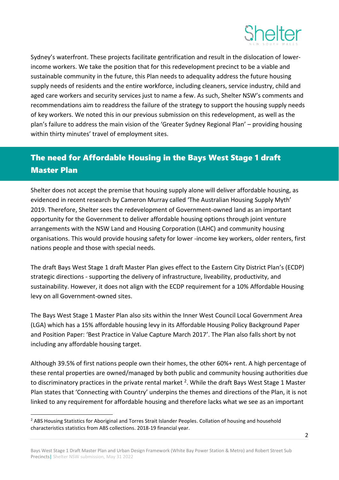

Sydney's waterfront. These projects facilitate gentrification and result in the dislocation of lowerincome workers. We take the position that for this redevelopment precinct to be a viable and sustainable community in the future, this Plan needs to adequality address the future housing supply needs of residents and the entire workforce, including cleaners, service industry, child and aged care workers and security services just to name a few. As such, Shelter NSW's comments and recommendations aim to readdress the failure of the strategy to support the housing supply needs of key workers. We noted this in our previous submission on this redevelopment, as well as the plan's failure to address the main vision of the 'Greater Sydney Regional Plan' – providing housing within thirty minutes' travel of employment sites.

## The need for Affordable Housing in the Bays West Stage 1 draft Master Plan

Shelter does not accept the premise that housing supply alone will deliver affordable housing, as evidenced in recent research by Cameron Murray called 'The Australian Housing Supply Myth' 2019. Therefore, Shelter sees the redevelopment of Government-owned land as an important opportunity for the Government to deliver affordable housing options through joint venture arrangements with the NSW Land and Housing Corporation (LAHC) and community housing organisations. This would provide housing safety for lower -income key workers, older renters, first nations people and those with special needs.

The draft Bays West Stage 1 draft Master Plan gives effect to the Eastern City District Plan's (ECDP) strategic directions - supporting the delivery of infrastructure, liveability, productivity, and sustainability. However, it does not align with the ECDP requirement for a 10% Affordable Housing levy on all Government-owned sites.

The Bays West Stage 1 Master Plan also sits within the Inner West Council Local Government Area (LGA) which has a 15% affordable housing levy in its Affordable Housing Policy Background Paper and Position Paper: 'Best Practice in Value Capture March 2017'. The Plan also falls short by not including any affordable housing target.

Although 39.5% of first nations people own their homes, the other 60%+ rent. A high percentage of these rental properties are owned/managed by both public and community housing authorities due to discriminatory practices in the private rental market <sup>2</sup>. While the draft Bays West Stage 1 Master Plan states that 'Connecting with Country' underpins the themes and directions of the Plan, it is not linked to any requirement for affordable housing and therefore lacks what we see as an important

<sup>&</sup>lt;sup>2</sup> ABS Housing Statistics for Aboriginal and Torres Strait Islander Peoples. Collation of housing and household characteristics statistics from ABS collections. 2018-19 financial year.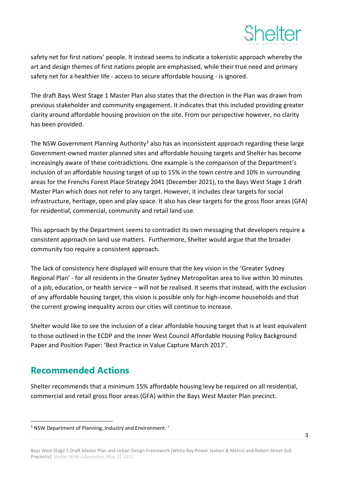

safety net for first nations' people. It instead seems to indicate a tokenistic approach whereby the art and design themes of first nations people are emphasised, while their true need and primary safety net for a healthier life - access to secure affordable housing - is ignored.

The draft Bays West Stage 1 Master Plan also states that the direction in the Plan was drawn from previous stakeholder and community engagement. It indicates that this included providing greater clarity around affordable housing provision on the site. From our perspective however, no clarity has been provided.

The NSW Government Planning Authority<sup>3</sup> also has an inconsistent approach regarding these large Government-owned master planned sites and affordable housing targets and Shelter has become increasingly aware of these contradictions. One example is the comparison of the Department's inclusion of an affordable housing target of up to 15% in the town centre and 10% in surrounding areas for the Frenchs Forest Place Strategy 2041 (December 2021), to the Bays West Stage 1 draft Master Plan which does not refer to any target. However, it includes clear targets for social infrastructure, heritage, open and play space. It also has clear targets for the gross floor areas (GFA) for residential, commercial, community and retail land use.

This approach by the Department seems to contradict its own messaging that developers require a consistent approach on land use matters. Furthermore, Shelter would argue that the broader community too require a consistent approach.

The lack of consistency here displayed will ensure that the key vision in the 'Greater Sydney Regional Plan' - for all residents in the Greater Sydney Metropolitan area to live within 30 minutes of a job, education, or health service – will not be realised. It seems that instead, with the exclusion of any affordable housing target, this vision is possible only for high-income households and that the current growing inequality across our cities will continue to increase.

Shelter would like to see the inclusion of a clear affordable housing target that is at least equivalent to those outlined in the ECDP and the Inner West Council Affordable Housing Policy Background Paper and Position Paper: 'Best Practice in Value Capture March 2017'.

### **Recommended Actions**

Shelter recommends that a minimum 15% affordable housing levy be required on all residential, commercial and retail gross floor areas (GFA) within the Bays West Master Plan precinct.

<sup>3</sup> NSW Department of Planning, Industry and Environment. '